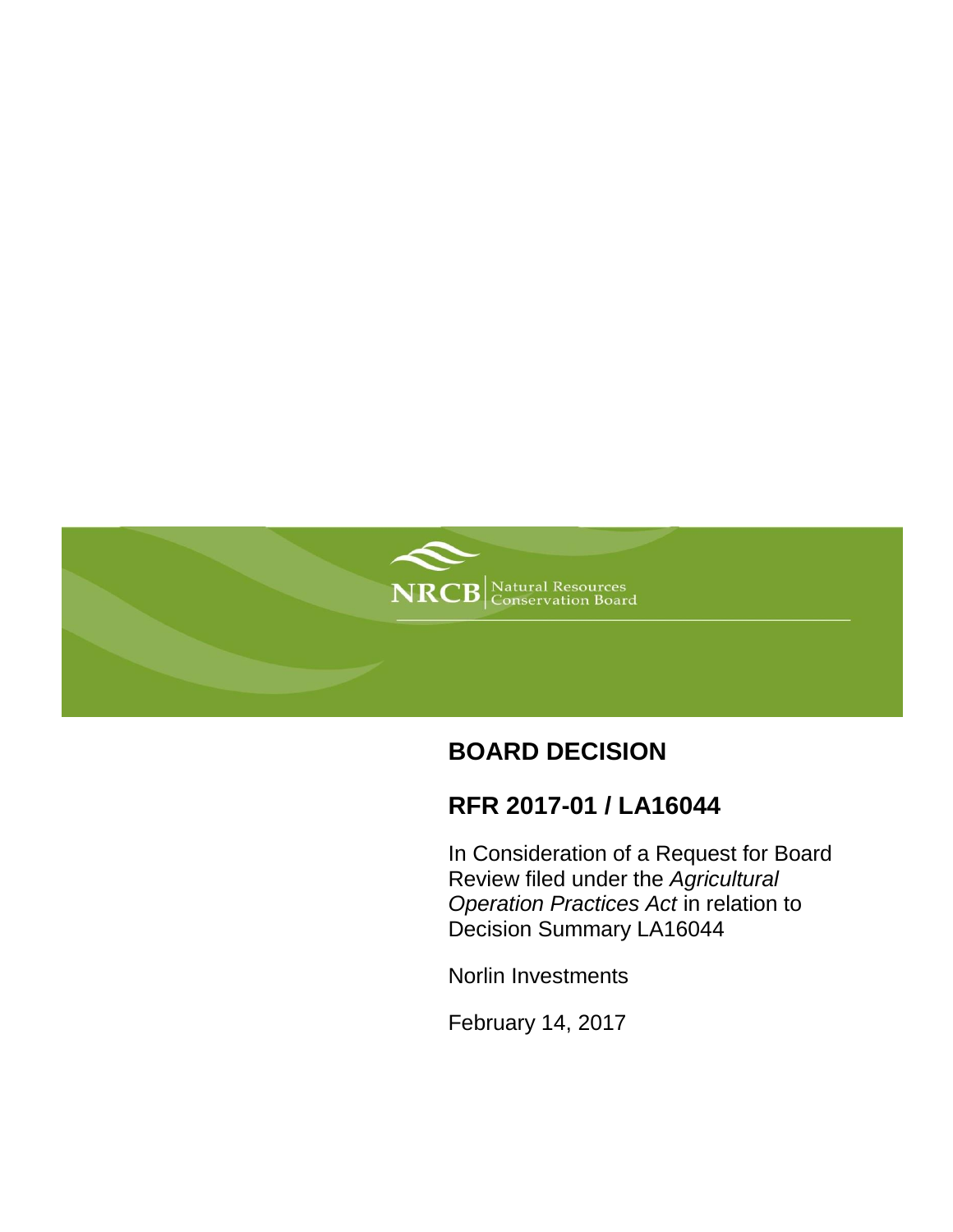

# **BOARD DECISION**

# **RFR 2017-01 / LA16044**

In Consideration of a Request for Board Review filed under the *Agricultural Operation Practices Act* in relation to Decision Summary LA16044

Norlin Investments

February 14, 2017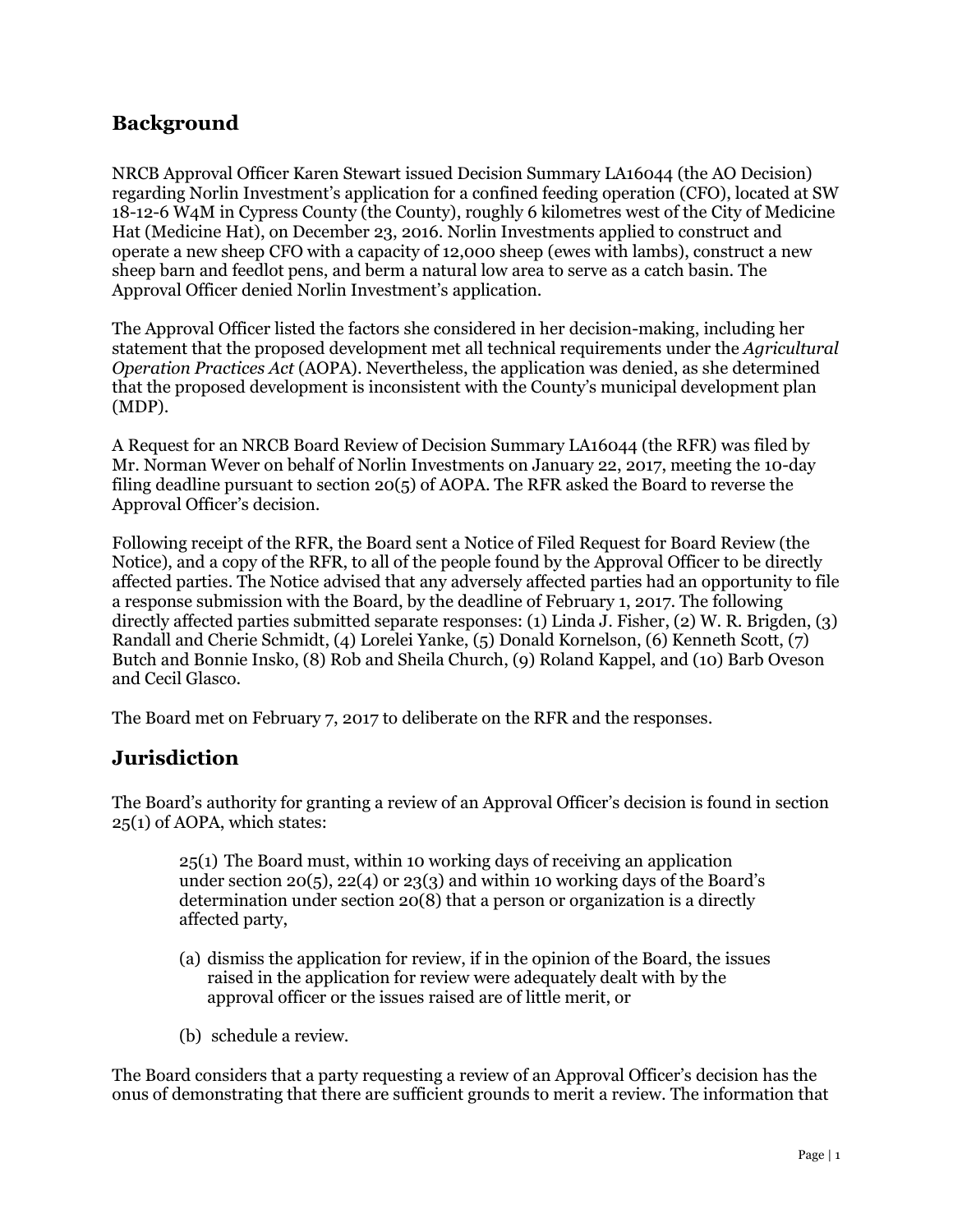### **Background**

NRCB Approval Officer Karen Stewart issued Decision Summary LA16044 (the AO Decision) regarding Norlin Investment's application for a confined feeding operation (CFO), located at SW 18-12-6 W4M in Cypress County (the County), roughly 6 kilometres west of the City of Medicine Hat (Medicine Hat), on December 23, 2016. Norlin Investments applied to construct and operate a new sheep CFO with a capacity of 12,000 sheep (ewes with lambs), construct a new sheep barn and feedlot pens, and berm a natural low area to serve as a catch basin. The Approval Officer denied Norlin Investment's application.

The Approval Officer listed the factors she considered in her decision-making, including her statement that the proposed development met all technical requirements under the *Agricultural Operation Practices Act* (AOPA). Nevertheless, the application was denied, as she determined that the proposed development is inconsistent with the County's municipal development plan (MDP).

A Request for an NRCB Board Review of Decision Summary LA16044 (the RFR) was filed by Mr. Norman Wever on behalf of Norlin Investments on January 22, 2017, meeting the 10-day filing deadline pursuant to section 20(5) of AOPA. The RFR asked the Board to reverse the Approval Officer's decision.

Following receipt of the RFR, the Board sent a Notice of Filed Request for Board Review (the Notice), and a copy of the RFR, to all of the people found by the Approval Officer to be directly affected parties. The Notice advised that any adversely affected parties had an opportunity to file a response submission with the Board, by the deadline of February 1, 2017. The following directly affected parties submitted separate responses: (1) Linda J. Fisher, (2) W. R. Brigden, (3) Randall and Cherie Schmidt, (4) Lorelei Yanke, (5) Donald Kornelson, (6) Kenneth Scott, (7) Butch and Bonnie Insko, (8) Rob and Sheila Church, (9) Roland Kappel, and (10) Barb Oveson and Cecil Glasco.

The Board met on February 7, 2017 to deliberate on the RFR and the responses.

#### **Jurisdiction**

The Board's authority for granting a review of an Approval Officer's decision is found in section 25(1) of AOPA, which states:

25(1) The Board must, within 10 working days of receiving an application under section 20(5), 22(4) or 23(3) and within 10 working days of the Board's determination under section 20(8) that a person or organization is a directly affected party,

- (a) dismiss the application for review, if in the opinion of the Board, the issues raised in the application for review were adequately dealt with by the approval officer or the issues raised are of little merit, or
- (b) schedule a review.

The Board considers that a party requesting a review of an Approval Officer's decision has the onus of demonstrating that there are sufficient grounds to merit a review. The information that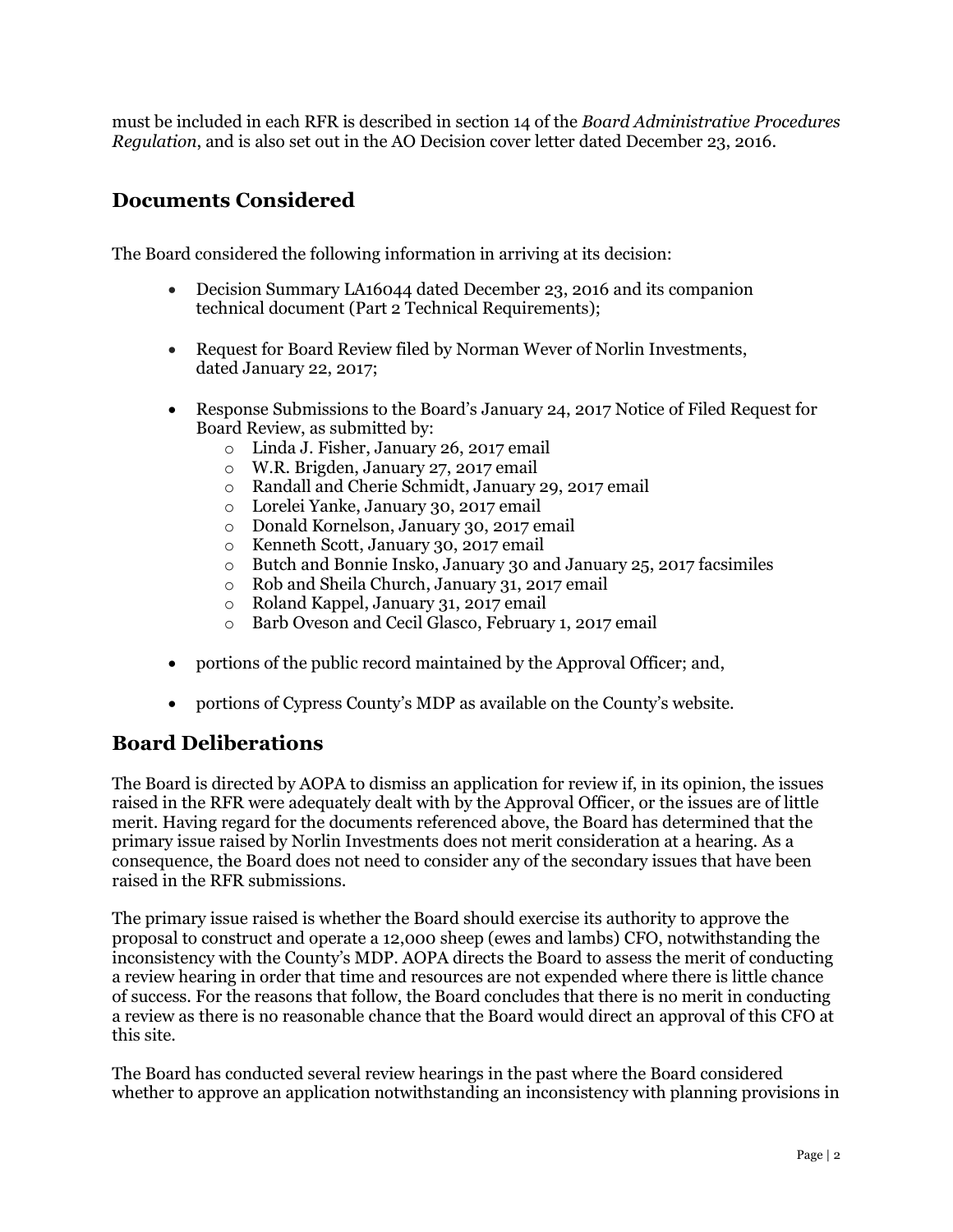must be included in each RFR is described in section 14 of the *Board Administrative Procedures Regulation*, and is also set out in the AO Decision cover letter dated December 23, 2016.

### **Documents Considered**

The Board considered the following information in arriving at its decision:

- Decision Summary LA16044 dated December 23, 2016 and its companion technical document (Part 2 Technical Requirements);
- Request for Board Review filed by Norman Wever of Norlin Investments, dated January 22, 2017;
- Response Submissions to the Board's January 24, 2017 Notice of Filed Request for Board Review, as submitted by:
	- o Linda J. Fisher, January 26, 2017 email
	- o W.R. Brigden, January 27, 2017 email
	- o Randall and Cherie Schmidt, January 29, 2017 email
	- o Lorelei Yanke, January 30, 2017 email
	- o Donald Kornelson, January 30, 2017 email
	- o Kenneth Scott, January 30, 2017 email
	- o Butch and Bonnie Insko, January 30 and January 25, 2017 facsimiles
	- o Rob and Sheila Church, January 31, 2017 email
	- o Roland Kappel, January 31, 2017 email
	- o Barb Oveson and Cecil Glasco, February 1, 2017 email
- portions of the public record maintained by the Approval Officer; and,
- portions of Cypress County's MDP as available on the County's website.

#### **Board Deliberations**

The Board is directed by AOPA to dismiss an application for review if, in its opinion, the issues raised in the RFR were adequately dealt with by the Approval Officer, or the issues are of little merit. Having regard for the documents referenced above, the Board has determined that the primary issue raised by Norlin Investments does not merit consideration at a hearing. As a consequence, the Board does not need to consider any of the secondary issues that have been raised in the RFR submissions.

The primary issue raised is whether the Board should exercise its authority to approve the proposal to construct and operate a 12,000 sheep (ewes and lambs) CFO, notwithstanding the inconsistency with the County's MDP. AOPA directs the Board to assess the merit of conducting a review hearing in order that time and resources are not expended where there is little chance of success. For the reasons that follow, the Board concludes that there is no merit in conducting a review as there is no reasonable chance that the Board would direct an approval of this CFO at this site.

The Board has conducted several review hearings in the past where the Board considered whether to approve an application notwithstanding an inconsistency with planning provisions in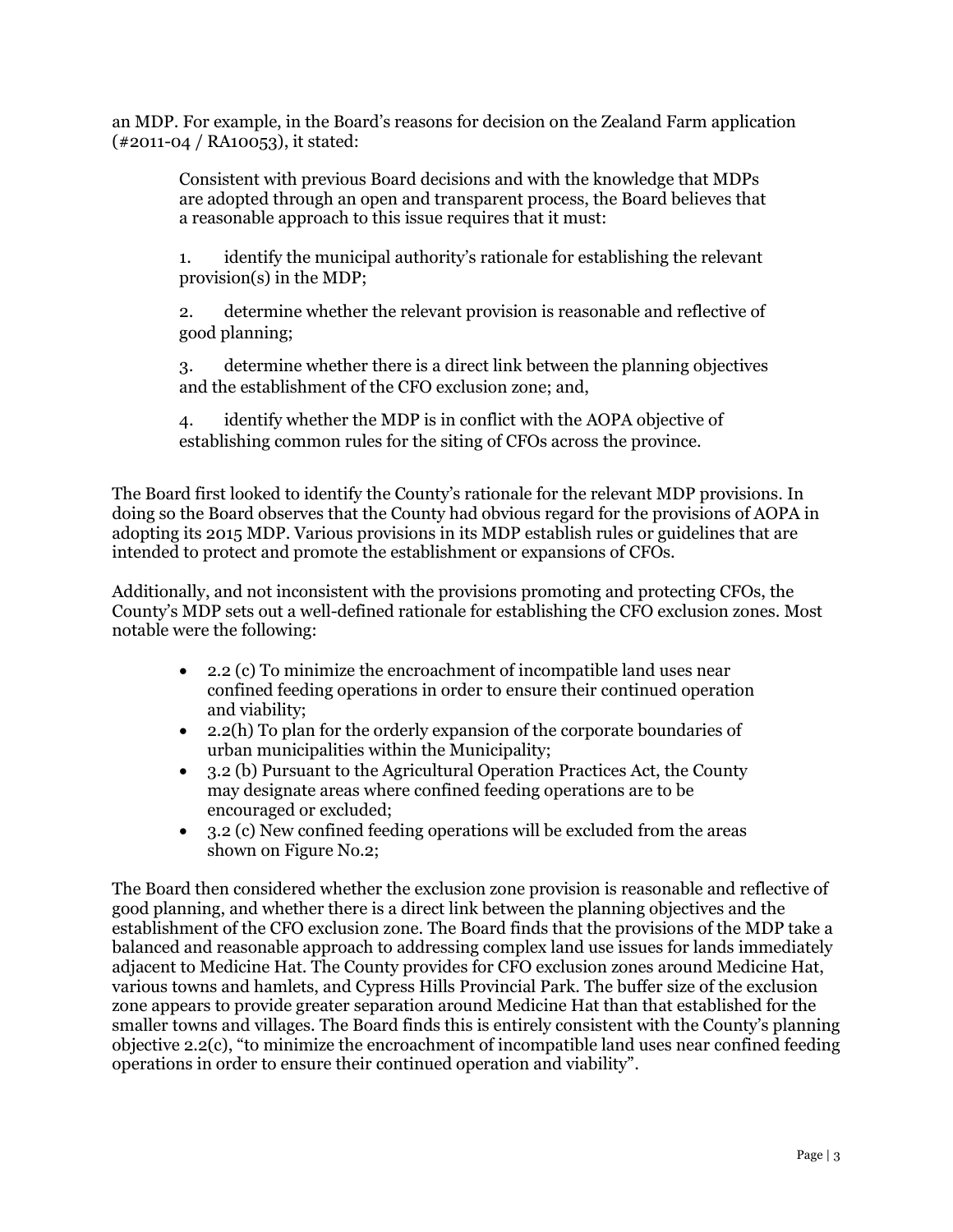an MDP. For example, in the Board's reasons for decision on the Zealand Farm application (#2011-04 / RA10053), it stated:

Consistent with previous Board decisions and with the knowledge that MDPs are adopted through an open and transparent process, the Board believes that a reasonable approach to this issue requires that it must:

1. identify the municipal authority's rationale for establishing the relevant provision(s) in the MDP;

2. determine whether the relevant provision is reasonable and reflective of good planning;

3. determine whether there is a direct link between the planning objectives and the establishment of the CFO exclusion zone; and,

4. identify whether the MDP is in conflict with the AOPA objective of establishing common rules for the siting of CFOs across the province.

The Board first looked to identify the County's rationale for the relevant MDP provisions. In doing so the Board observes that the County had obvious regard for the provisions of AOPA in adopting its 2015 MDP. Various provisions in its MDP establish rules or guidelines that are intended to protect and promote the establishment or expansions of CFOs.

Additionally, and not inconsistent with the provisions promoting and protecting CFOs, the County's MDP sets out a well-defined rationale for establishing the CFO exclusion zones. Most notable were the following:

- 2.2 (c) To minimize the encroachment of incompatible land uses near confined feeding operations in order to ensure their continued operation and viability;
- 2.2(h) To plan for the orderly expansion of the corporate boundaries of urban municipalities within the Municipality;
- 3.2 (b) Pursuant to the Agricultural Operation Practices Act, the County may designate areas where confined feeding operations are to be encouraged or excluded;
- 3.2 (c) New confined feeding operations will be excluded from the areas shown on Figure No.2;

The Board then considered whether the exclusion zone provision is reasonable and reflective of good planning, and whether there is a direct link between the planning objectives and the establishment of the CFO exclusion zone. The Board finds that the provisions of the MDP take a balanced and reasonable approach to addressing complex land use issues for lands immediately adjacent to Medicine Hat. The County provides for CFO exclusion zones around Medicine Hat, various towns and hamlets, and Cypress Hills Provincial Park. The buffer size of the exclusion zone appears to provide greater separation around Medicine Hat than that established for the smaller towns and villages. The Board finds this is entirely consistent with the County's planning objective 2.2(c), "to minimize the encroachment of incompatible land uses near confined feeding operations in order to ensure their continued operation and viability".